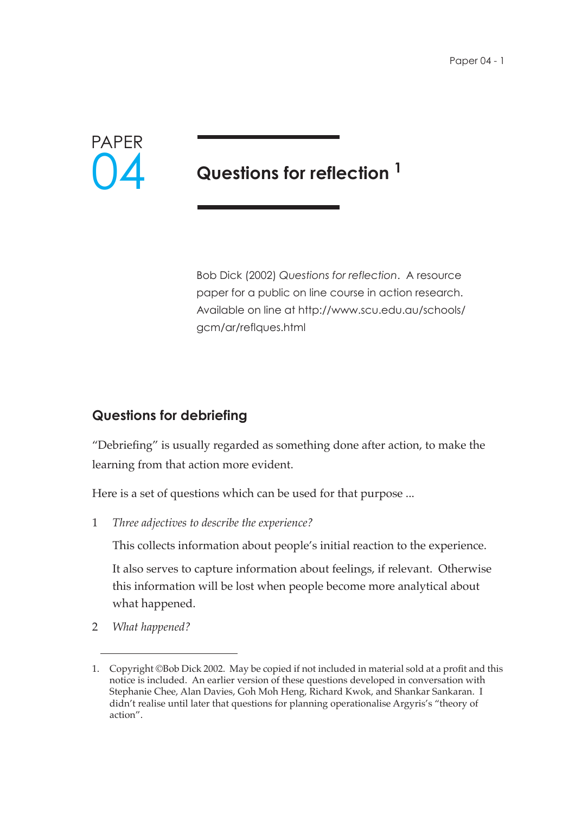

# **Questions for reflection 1**

Bob Dick (2002) *Questions for reflection*. A resource paper for a public on line course in action research. Available on line at http://www.scu.edu.au/schools/ gcm/ar/reflques.html

## **Questions for debriefing**

"Debriefing" is usually regarded as something done after action, to make the learning from that action more evident.

Here is a set of questions which can be used for that purpose ...

1 *Three adjectives to describe the experience?*

This collects information about people's initial reaction to the experience.

It also serves to capture information about feelings, if relevant. Otherwise this information will be lost when people become more analytical about what happened.

2 *What happened?*

<sup>1.</sup> Copyright ©Bob Dick 2002. May be copied if not included in material sold at a profit and this notice is included. An earlier version of these questions developed in conversation with Stephanie Chee, Alan Davies, Goh Moh Heng, Richard Kwok, and Shankar Sankaran. I didn't realise until later that questions for planning operationalise Argyris's "theory of action".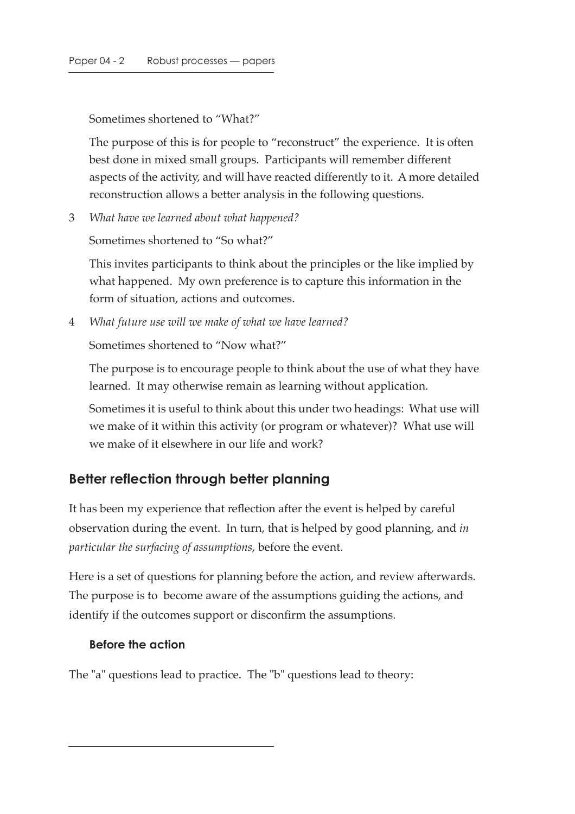Sometimes shortened to "What?"

The purpose of this is for people to "reconstruct" the experience. It is often best done in mixed small groups. Participants will remember different aspects of the activity, and will have reacted differently to it. A more detailed reconstruction allows a better analysis in the following questions.

3 *What have we learned about what happened?*

Sometimes shortened to "So what?"

This invites participants to think about the principles or the like implied by what happened. My own preference is to capture this information in the form of situation, actions and outcomes.

4 *What future use will we make of what we have learned?*

Sometimes shortened to "Now what?"

The purpose is to encourage people to think about the use of what they have learned. It may otherwise remain as learning without application.

Sometimes it is useful to think about this under two headings: What use will we make of it within this activity (or program or whatever)? What use will we make of it elsewhere in our life and work?

## **Better reflection through better planning**

It has been my experience that reflection after the event is helped by careful observation during the event. In turn, that is helped by good planning, and *in particular the surfacing of assumptions*, before the event.

Here is a set of questions for planning before the action, and review afterwards. The purpose is to become aware of the assumptions guiding the actions, and identify if the outcomes support or disconfirm the assumptions.

### **Before the action**

The "a" questions lead to practice. The "b" questions lead to theory: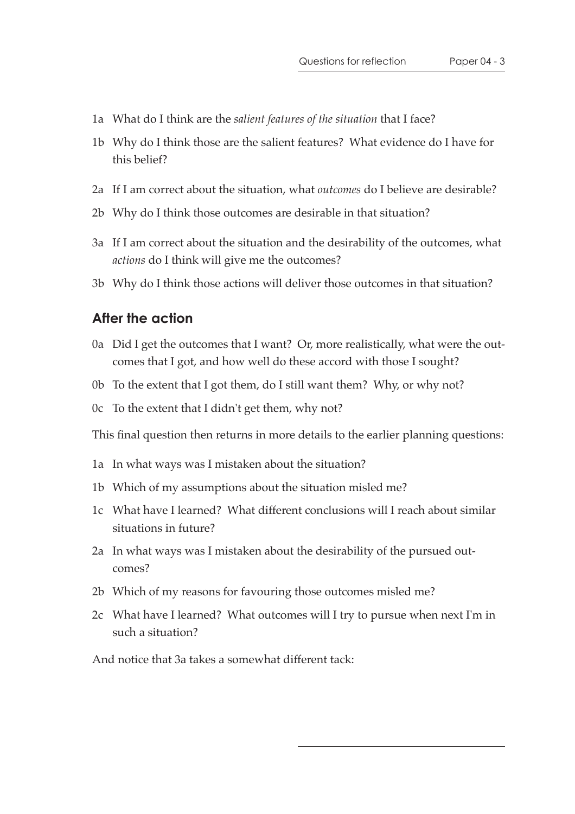- 1a What do I think are the *salient features of the situation* that I face?
- 1b Why do I think those are the salient features? What evidence do I have for this belief?
- 2a If I am correct about the situation, what *outcomes* do I believe are desirable?
- 2b Why do I think those outcomes are desirable in that situation?
- 3a If I am correct about the situation and the desirability of the outcomes, what *actions* do I think will give me the outcomes?
- 3b Why do I think those actions will deliver those outcomes in that situation?

### **After the action**

- 0a Did I get the outcomes that I want? Or, more realistically, what were the outcomes that I got, and how well do these accord with those I sought?
- 0b To the extent that I got them, do I still want them? Why, or why not?
- 0c To the extent that I didn't get them, why not?

This final question then returns in more details to the earlier planning questions:

- 1a In what ways was I mistaken about the situation?
- 1b Which of my assumptions about the situation misled me?
- 1c What have I learned? What different conclusions will I reach about similar situations in future?
- 2a In what ways was I mistaken about the desirability of the pursued outcomes?
- 2b Which of my reasons for favouring those outcomes misled me?
- 2c What have I learned? What outcomes will I try to pursue when next I'm in such a situation?

And notice that 3a takes a somewhat different tack: